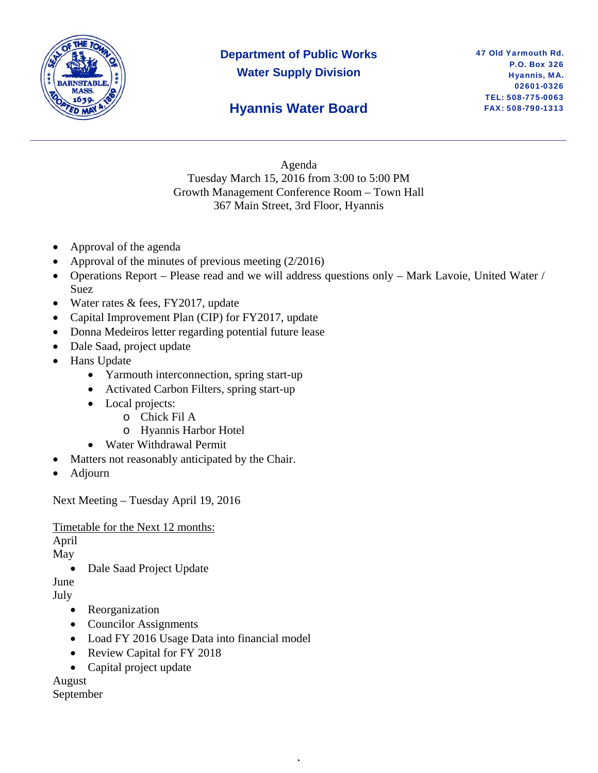

# **Department of Public Works Water Supply Division**

## **Hyannis Water Board**

Agenda Tuesday March 15, 2016 from 3:00 to 5:00 PM Growth Management Conference Room – Town Hall 367 Main Street, 3rd Floor, Hyannis

- Approval of the agenda
- Approval of the minutes of previous meeting  $(2/2016)$
- Operations Report Please read and we will address questions only Mark Lavoie, United Water / Suez

,

- Water rates & fees, FY2017, update
- Capital Improvement Plan (CIP) for FY2017, update
- Donna Medeiros letter regarding potential future lease
- Dale Saad, project update
- Hans Update
	- Yarmouth interconnection, spring start-up
	- Activated Carbon Filters, spring start-up
	- Local projects:
		- o Chick Fil A
		- o Hyannis Harbor Hotel
	- Water Withdrawal Permit
- Matters not reasonably anticipated by the Chair.
- Adjourn

Next Meeting – Tuesday April 19, 2016

Timetable for the Next 12 months:

April

May

• Dale Saad Project Update

June

July

- Reorganization
- Councilor Assignments
- Load FY 2016 Usage Data into financial model
- Review Capital for FY 2018
- Capital project update

August

September